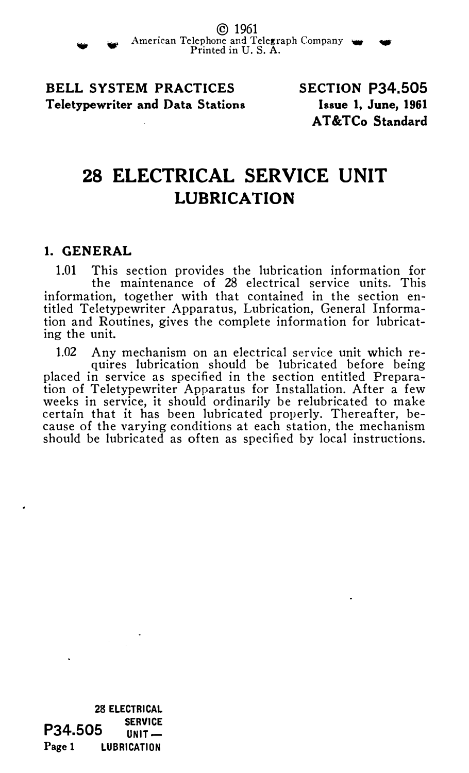

© <sup>1961</sup> American Telephone and Telegraph Company w Printed in U.S. A.

BELL SYSTEM PRACTICES Teletypewriter and Data Stations SECTION P34.505 Issue 1, June, 1961 AT&TCo Standard

# 28 ELECTRICAL SERVICE UNIT LUBRICATION

#### 1. GENERAL

1.01 This section provides the lubrication information for the maintenance of 28 electrical service units. This information, together with that contained in the section entitled Teletypewriter Apparatus, Lubrication, General Information and Routines, gives the complete information for lubricating the unit.

1.02 Any mechanism on an electrical service unit which requires lubrication should be lubricated before being placed in service as specified in the section entitled Preparation of Teletypewriter Apparatus for Installation. After a few weeks in service, it should ordinarily be relubricated to make certain that it has been lubricated properly. Thereafter, because of the varying conditions at each station, the mechanism should be lubricated as often as specified by local instructions.

28 ELECTRICAL **SERVICE**  $IINIT-$ LUBRICATION P34.505 Page 1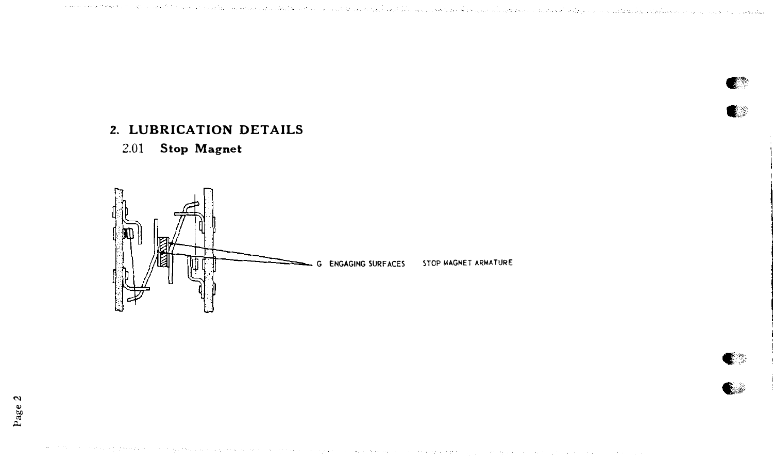കരണങ്ങള് പോഗ്റ്റര് മാക്ക് കരണങ്ങള് രാഗം ഇര്ച്ചറുപ്പിട്ടു പ്രത്യേക്കള് പ്രത്യേക്ക് മുകള് പ്രവേശിച്ച് വിശ്വാസ് പ്രവേഗം പ

# 2. LUBRICATION DETAILS

# 2.01 Stop Magnet

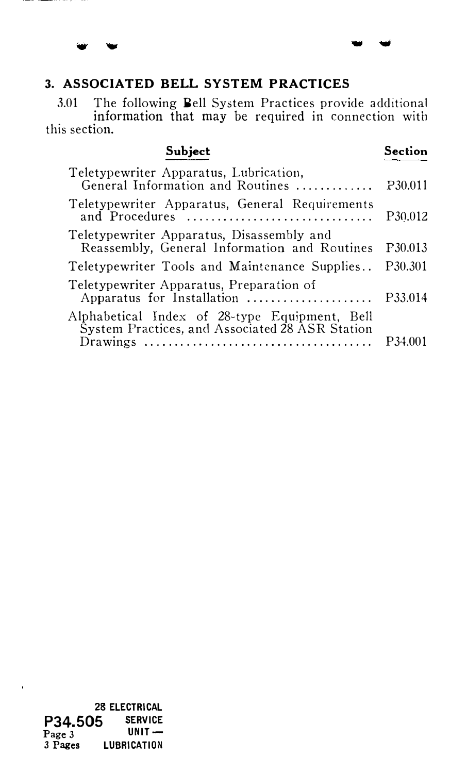# 3. ASSOCIATED BELL SYSTEM PRACTICES

**College** 

3.01 The following Bell System Practices provide additional information that may be required in connection with this section.

- ..,

Subject Section Teletypewriter Apparatus, Lubrication, General Information and Routines .............. P30.011

| Teletypewriter Apparatus, General Requirements<br>and Procedures                                                                                                                      | P30.012 |
|---------------------------------------------------------------------------------------------------------------------------------------------------------------------------------------|---------|
| Teletypewriter Apparatus, Disassembly and<br>Reassembly, General Information and Routines P30.013                                                                                     |         |
| Teletypewriter Tools and Maintenance Supplies P30.301                                                                                                                                 |         |
| Teletypewriter Apparatus, Preparation of<br>Apparatus for Installation  P33.014                                                                                                       |         |
| Alphabetical Index of 28-type Equipment, Bell<br>System Practices, and Associated 28 ASR Station<br>$Drawing \dots \dots \dots \dots \dots \dots \dots \dots \dots \dots \dots \dots$ | P34.001 |